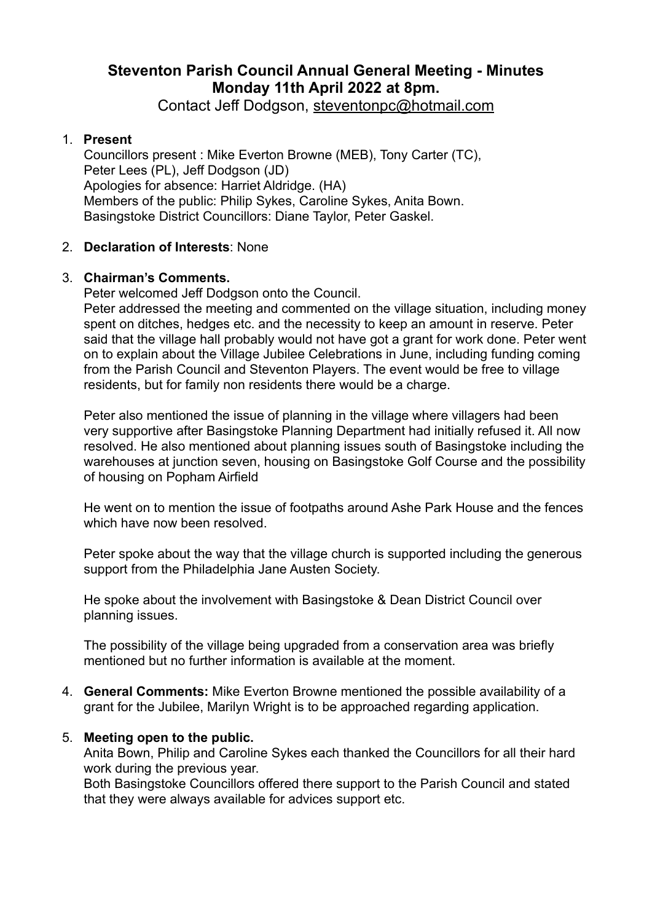# **Steventon Parish Council Annual General Meeting - Minutes Monday 11th April 2022 at 8pm.**

Contact Jeff Dodgson, [steventonpc@hotmail.com](mailto:steventonpc@hotmail.com)

# 1. **Present**

Councillors present : Mike Everton Browne (MEB), Tony Carter (TC), Peter Lees (PL), Jeff Dodgson (JD) Apologies for absence: Harriet Aldridge. (HA) Members of the public: Philip Sykes, Caroline Sykes, Anita Bown. Basingstoke District Councillors: Diane Taylor, Peter Gaskel.

# 2. **Declaration of Interests**: None

# 3. **Chairman's Comments.**

Peter welcomed Jeff Dodgson onto the Council.

Peter addressed the meeting and commented on the village situation, including money spent on ditches, hedges etc. and the necessity to keep an amount in reserve. Peter said that the village hall probably would not have got a grant for work done. Peter went on to explain about the Village Jubilee Celebrations in June, including funding coming from the Parish Council and Steventon Players. The event would be free to village residents, but for family non residents there would be a charge.

Peter also mentioned the issue of planning in the village where villagers had been very supportive after Basingstoke Planning Department had initially refused it. All now resolved. He also mentioned about planning issues south of Basingstoke including the warehouses at junction seven, housing on Basingstoke Golf Course and the possibility of housing on Popham Airfield

He went on to mention the issue of footpaths around Ashe Park House and the fences which have now been resolved.

Peter spoke about the way that the village church is supported including the generous support from the Philadelphia Jane Austen Society.

He spoke about the involvement with Basingstoke & Dean District Council over planning issues.

The possibility of the village being upgraded from a conservation area was briefly mentioned but no further information is available at the moment.

4. **General Comments:** Mike Everton Browne mentioned the possible availability of a grant for the Jubilee, Marilyn Wright is to be approached regarding application.

### 5. **Meeting open to the public.**

Anita Bown, Philip and Caroline Sykes each thanked the Councillors for all their hard work during the previous year.

Both Basingstoke Councillors offered there support to the Parish Council and stated that they were always available for advices support etc.